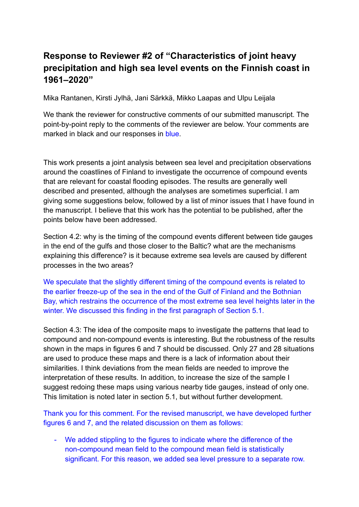## **Response to Reviewer #2 of "Characteristics of joint heavy precipitation and high sea level events on the Finnish coast in 1961–2020"**

Mika Rantanen, Kirsti Jylhä, Jani Särkkä, Mikko Laapas and Ulpu Leijala

We thank the reviewer for constructive comments of our submitted manuscript. The point-by-point reply to the comments of the reviewer are below. Your comments are marked in black and our responses in blue.

This work presents a joint analysis between sea level and precipitation observations around the coastlines of Finland to investigate the occurrence of compound events that are relevant for coastal flooding episodes. The results are generally well described and presented, although the analyses are sometimes superficial. I am giving some suggestions below, followed by a list of minor issues that I have found in the manuscript. I believe that this work has the potential to be published, after the points below have been addressed.

Section 4.2: why is the timing of the compound events different between tide gauges in the end of the gulfs and those closer to the Baltic? what are the mechanisms explaining this difference? is it because extreme sea levels are caused by different processes in the two areas?

We speculate that the slightly different timing of the compound events is related to the earlier freeze-up of the sea in the end of the Gulf of Finland and the Bothnian Bay, which restrains the occurrence of the most extreme sea level heights later in the winter. We discussed this finding in the first paragraph of Section 5.1.

Section 4.3: The idea of the composite maps to investigate the patterns that lead to compound and non-compound events is interesting. But the robustness of the results shown in the maps in figures 6 and 7 should be discussed. Only 27 and 28 situations are used to produce these maps and there is a lack of information about their similarities. I think deviations from the mean fields are needed to improve the interpretation of these results. In addition, to increase the size of the sample I suggest redoing these maps using various nearby tide gauges, instead of only one. This limitation is noted later in section 5.1, but without further development.

Thank you for this comment. For the revised manuscript, we have developed further figures 6 and 7, and the related discussion on them as follows:

- We added stippling to the figures to indicate where the difference of the non-compound mean field to the compound mean field is statistically significant. For this reason, we added sea level pressure to a separate row.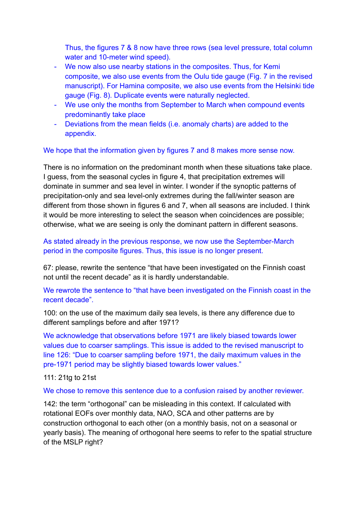Thus, the figures 7 & 8 now have three rows (sea level pressure, total column water and 10-meter wind speed).

- We now also use nearby stations in the composites. Thus, for Kemi composite, we also use events from the Oulu tide gauge (Fig. 7 in the revised manuscript). For Hamina composite, we also use events from the Helsinki tide gauge (Fig. 8). Duplicate events were naturally neglected.
- We use only the months from September to March when compound events predominantly take place
- Deviations from the mean fields (i.e. anomaly charts) are added to the appendix.

## We hope that the information given by figures 7 and 8 makes more sense now.

There is no information on the predominant month when these situations take place. I guess, from the seasonal cycles in figure 4, that precipitation extremes will dominate in summer and sea level in winter. I wonder if the synoptic patterns of precipitation-only and sea level-only extremes during the fall/winter season are different from those shown in figures 6 and 7, when all seasons are included. I think it would be more interesting to select the season when coincidences are possible; otherwise, what we are seeing is only the dominant pattern in different seasons.

As stated already in the previous response, we now use the September-March period in the composite figures. Thus, this issue is no longer present.

67: please, rewrite the sentence "that have been investigated on the Finnish coast not until the recent decade" as it is hardly understandable.

We rewrote the sentence to "that have been investigated on the Finnish coast in the recent decade".

100: on the use of the maximum daily sea levels, is there any difference due to different samplings before and after 1971?

We acknowledge that observations before 1971 are likely biased towards lower values due to coarser samplings. This issue is added to the revised manuscript to line 126: "Due to coarser sampling before 1971, the daily maximum values in the pre-1971 period may be slightly biased towards lower values."

## 111: 21tg to 21st

We chose to remove this sentence due to a confusion raised by another reviewer.

142: the term "orthogonal" can be misleading in this context. If calculated with rotational EOFs over monthly data, NAO, SCA and other patterns are by construction orthogonal to each other (on a monthly basis, not on a seasonal or yearly basis). The meaning of orthogonal here seems to refer to the spatial structure of the MSLP right?